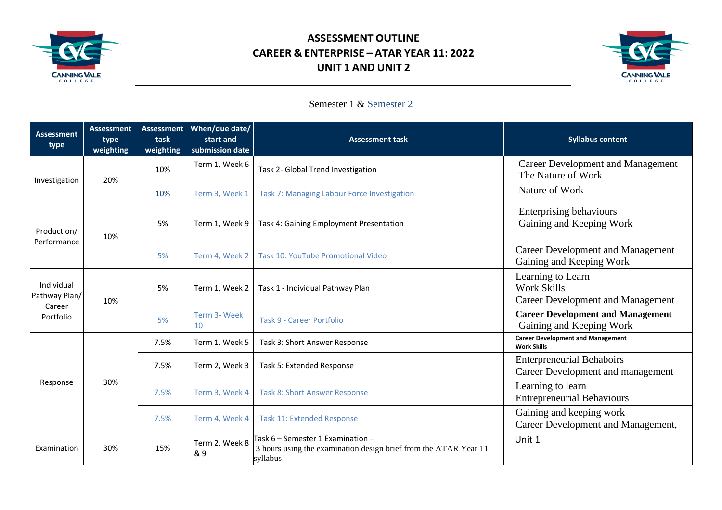

# **ASSESSMENT OUTLINE CAREER & ENTERPRISE – ATAR YEAR 11: 2022 UNIT 1 AND UNIT 2**



### Semester 1 & Semester 2

| <b>Assessment</b><br>type                          | <b>Assessment</b><br>type<br>weighting | <b>Assessment</b><br>task<br>weighting | When/due date/<br>start and<br>submission date | <b>Assessment task</b>                                                                                            | <b>Syllabus content</b>                                                             |
|----------------------------------------------------|----------------------------------------|----------------------------------------|------------------------------------------------|-------------------------------------------------------------------------------------------------------------------|-------------------------------------------------------------------------------------|
| Investigation                                      | 20%                                    | 10%                                    | Term 1, Week 6                                 | Task 2- Global Trend Investigation                                                                                | <b>Career Development and Management</b><br>The Nature of Work                      |
|                                                    |                                        | 10%                                    | Term 3, Week 1                                 | Task 7: Managing Labour Force Investigation                                                                       | Nature of Work                                                                      |
| Production/<br>Performance                         | 10%                                    | 5%                                     | Term 1, Week 9                                 | Task 4: Gaining Employment Presentation                                                                           | <b>Enterprising behaviours</b><br>Gaining and Keeping Work                          |
|                                                    |                                        | 5%                                     | Term 4, Week 2                                 | <b>Task 10: YouTube Promotional Video</b>                                                                         | <b>Career Development and Management</b><br>Gaining and Keeping Work                |
| Individual<br>Pathway Plan/<br>Career<br>Portfolio | 10%                                    | 5%                                     | Term 1, Week 2                                 | Task 1 - Individual Pathway Plan                                                                                  | Learning to Learn<br><b>Work Skills</b><br><b>Career Development and Management</b> |
|                                                    |                                        | 5%                                     | Term 3- Week<br>10                             | Task 9 - Career Portfolio                                                                                         | <b>Career Development and Management</b><br>Gaining and Keeping Work                |
| Response                                           | 30%                                    | 7.5%                                   | Term 1, Week 5                                 | Task 3: Short Answer Response                                                                                     | <b>Career Development and Management</b><br><b>Work Skills</b>                      |
|                                                    |                                        | 7.5%                                   | Term 2, Week 3                                 | Task 5: Extended Response                                                                                         | <b>Enterpreneurial Behaboirs</b><br>Career Development and management               |
|                                                    |                                        | 7.5%                                   | Term 3, Week 4                                 | <b>Task 8: Short Answer Response</b>                                                                              | Learning to learn<br><b>Entrepreneurial Behaviours</b>                              |
|                                                    |                                        | 7.5%                                   | Term 4, Week 4                                 | <b>Task 11: Extended Response</b>                                                                                 | Gaining and keeping work<br>Career Development and Management,                      |
| Examination                                        | 30%                                    | 15%                                    | Term 2, Week 8<br>& 9                          | Task 6 - Semester 1 Examination -<br>3 hours using the examination design brief from the ATAR Year 11<br>syllabus | Unit 1                                                                              |